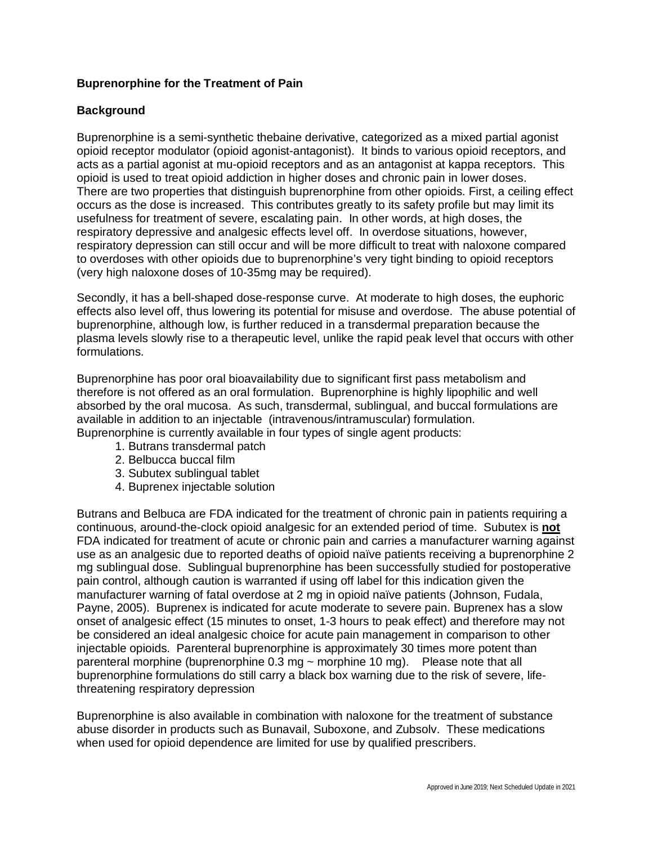# **Buprenorphine for the Treatment of Pain**

# **Background**

Buprenorphine is a semi-synthetic thebaine derivative, categorized as a mixed partial agonist opioid receptor modulator (opioid agonist-antagonist). It binds to various opioid receptors, and acts as a partial agonist at mu-opioid receptors and as an antagonist at kappa receptors. This opioid is used to treat opioid addiction in higher doses and chronic pain in lower doses. There are two properties that distinguish buprenorphine from other opioids. First, a ceiling effect occurs as the dose is increased. This contributes greatly to its safety profile but may limit its usefulness for treatment of severe, escalating pain. In other words, at high doses, the respiratory depressive and analgesic effects level off. In overdose situations, however, respiratory depression can still occur and will be more difficult to treat with naloxone compared to overdoses with other opioids due to buprenorphine's very tight binding to opioid receptors (very high naloxone doses of 10-35mg may be required).

Secondly, it has a bell-shaped dose-response curve. At moderate to high doses, the euphoric effects also level off, thus lowering its potential for misuse and overdose. The abuse potential of buprenorphine, although low, is further reduced in a transdermal preparation because the plasma levels slowly rise to a therapeutic level, unlike the rapid peak level that occurs with other formulations.

Buprenorphine has poor oral bioavailability due to significant first pass metabolism and therefore is not offered as an oral formulation. Buprenorphine is highly lipophilic and well absorbed by the oral mucosa. As such, transdermal, sublingual, and buccal formulations are available in addition to an injectable (intravenous/intramuscular) formulation. Buprenorphine is currently available in four types of single agent products:

- 1. Butrans transdermal patch
- 2. Belbucca buccal film
- 3. Subutex sublingual tablet
- 4. Buprenex injectable solution

Butrans and Belbuca are FDA indicated for the treatment of chronic pain in patients requiring a continuous, around-the-clock opioid analgesic for an extended period of time. Subutex is **not** FDA indicated for treatment of acute or chronic pain and carries a manufacturer warning against use as an analgesic due to reported deaths of opioid naïve patients receiving a buprenorphine 2 mg sublingual dose. Sublingual buprenorphine has been successfully studied for postoperative pain control, although caution is warranted if using off label for this indication given the manufacturer warning of fatal overdose at 2 mg in opioid naïve patients (Johnson, Fudala, Payne, 2005). Buprenex is indicated for acute moderate to severe pain. Buprenex has a slow onset of analgesic effect (15 minutes to onset, 1-3 hours to peak effect) and therefore may not be considered an ideal analgesic choice for acute pain management in comparison to other injectable opioids. Parenteral buprenorphine is approximately 30 times more potent than parenteral morphine (buprenorphine 0.3 mg ~ morphine 10 mg). Please note that all buprenorphine formulations do still carry a black box warning due to the risk of severe, lifethreatening respiratory depression

Buprenorphine is also available in combination with naloxone for the treatment of substance abuse disorder in products such as Bunavail, Suboxone, and Zubsolv. These medications when used for opioid dependence are limited for use by qualified prescribers.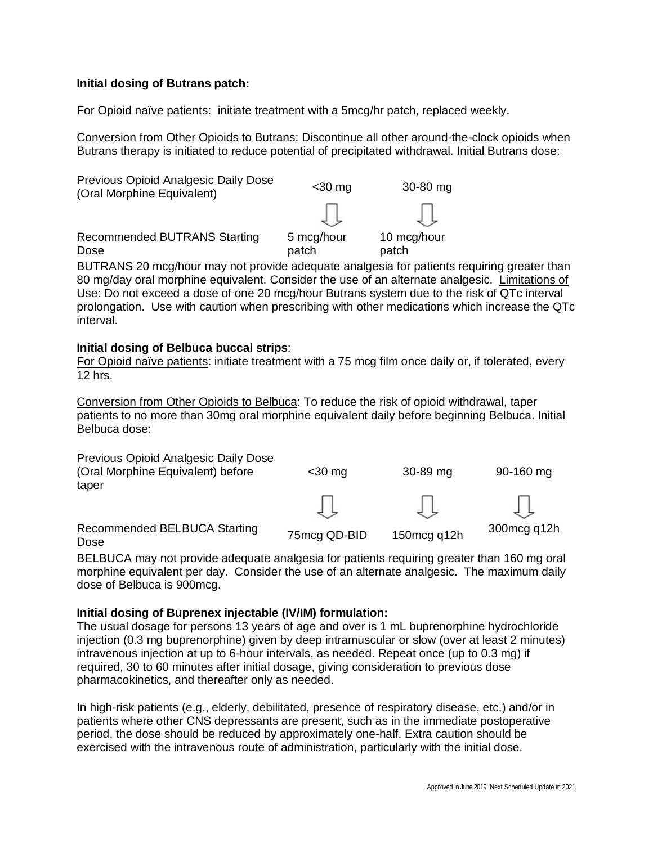## **Initial dosing of Butrans patch:**

For Opioid naïve patients: initiate treatment with a 5mcg/hr patch, replaced weekly.

Conversion from Other Opioids to Butrans: Discontinue all other around-the-clock opioids when Butrans therapy is initiated to reduce potential of precipitated withdrawal. Initial Butrans dose:



BUTRANS 20 mcg/hour may not provide adequate analgesia for patients requiring greater than 80 mg/day oral morphine equivalent. Consider the use of an alternate analgesic. Limitations of Use: Do not exceed a dose of one 20 mcg/hour Butrans system due to the risk of QTc interval prolongation. Use with caution when prescribing with other medications which increase the QTc interval.

## **Initial dosing of Belbuca buccal strips**:

For Opioid naïve patients: initiate treatment with a 75 mcg film once daily or, if tolerated, every 12 hrs.

Conversion from Other Opioids to Belbuca: To reduce the risk of opioid withdrawal, taper patients to no more than 30mg oral morphine equivalent daily before beginning Belbuca. Initial Belbuca dose:

| Previous Opioid Analgesic Daily Dose<br>(Oral Morphine Equivalent) before<br>taper | $<$ 30 mg    | 30-89 mg    | 90-160 mg    |
|------------------------------------------------------------------------------------|--------------|-------------|--------------|
|                                                                                    |              |             |              |
| Recommended BELBUCA Starting<br>Dose                                               | 75mcg QD-BID | 150mcg q12h | 300 mcg q12h |

BELBUCA may not provide adequate analgesia for patients requiring greater than 160 mg oral morphine equivalent per day. Consider the use of an alternate analgesic. The maximum daily dose of Belbuca is 900mcg.

#### **Initial dosing of Buprenex injectable (IV/IM) formulation:**

The usual dosage for persons 13 years of age and over is 1 mL buprenorphine hydrochloride injection (0.3 mg buprenorphine) given by deep intramuscular or slow (over at least 2 minutes) intravenous injection at up to 6-hour intervals, as needed. Repeat once (up to 0.3 mg) if required, 30 to 60 minutes after initial dosage, giving consideration to previous dose pharmacokinetics, and thereafter only as needed.

In high-risk patients (e.g., elderly, debilitated, presence of respiratory disease, etc.) and/or in patients where other CNS depressants are present, such as in the immediate postoperative period, the dose should be reduced by approximately one-half. Extra caution should be exercised with the intravenous route of administration, particularly with the initial dose.